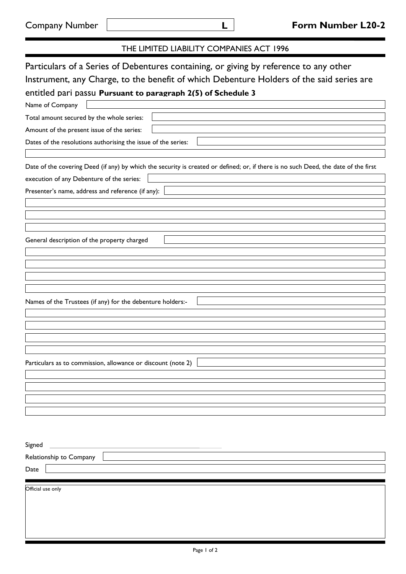| THE LIMITED LIABILITY COMPANIES ACT 1996                                                                                                                                                                                                                             |
|----------------------------------------------------------------------------------------------------------------------------------------------------------------------------------------------------------------------------------------------------------------------|
| Particulars of a Series of Debentures containing, or giving by reference to any other<br>Instrument, any Charge, to the benefit of which Debenture Holders of the said series are<br>entitled pari passu Pursuant to paragraph 2(5) of Schedule 3<br>Name of Company |
| Total amount secured by the whole series:                                                                                                                                                                                                                            |
| Amount of the present issue of the series:                                                                                                                                                                                                                           |
| Dates of the resolutions authorising the issue of the series:                                                                                                                                                                                                        |
| Date of the covering Deed (if any) by which the security is created or defined; or, if there is no such Deed, the date of the first<br>execution of any Debenture of the series:                                                                                     |
| Presenter's name, address and reference (if any):                                                                                                                                                                                                                    |
| General description of the property charged<br>Names of the Trustees (if any) for the debenture holders:-                                                                                                                                                            |
| Particulars as to commission, allowance or discount (note 2)                                                                                                                                                                                                         |
| Signed                                                                                                                                                                                                                                                               |
| Relationship to Company                                                                                                                                                                                                                                              |
| Date                                                                                                                                                                                                                                                                 |

Official use only